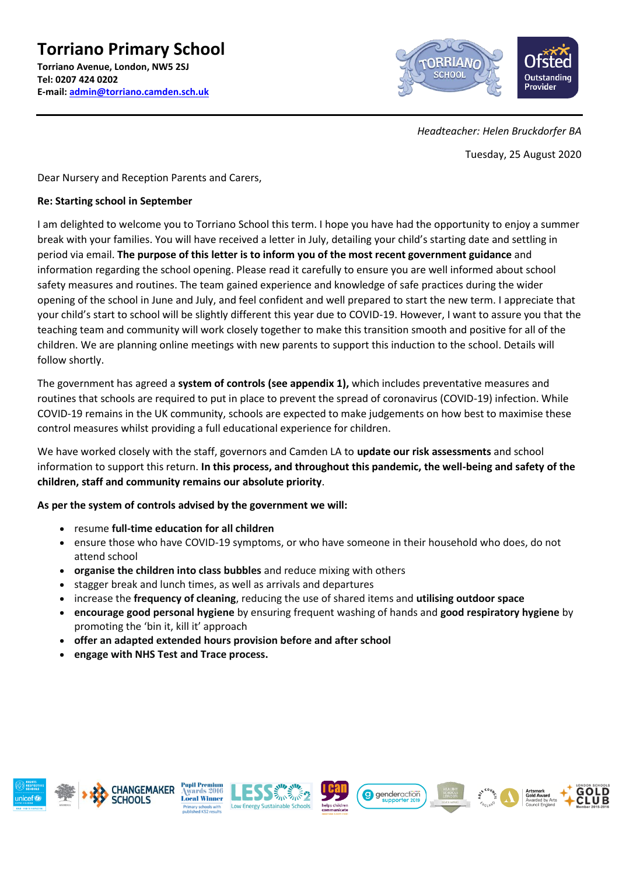

*Headteacher: Helen Bruckdorfer BA*

Tuesday, 25 August 2020

Dear Nursery and Reception Parents and Carers,

### **Re: Starting school in September**

I am delighted to welcome you to Torriano School this term. I hope you have had the opportunity to enjoy a summer break with your families. You will have received a letter in July, detailing your child's starting date and settling in period via email. **The purpose of this letter is to inform you of the most recent government guidance** and information regarding the school opening. Please read it carefully to ensure you are well informed about school safety measures and routines. The team gained experience and knowledge of safe practices during the wider opening of the school in June and July, and feel confident and well prepared to start the new term. I appreciate that your child's start to school will be slightly different this year due to COVID-19. However, I want to assure you that the teaching team and community will work closely together to make this transition smooth and positive for all of the children. We are planning online meetings with new parents to support this induction to the school. Details will follow shortly.

The government has agreed a **system of controls (see appendix 1),** which includes preventative measures and routines that schools are required to put in place to prevent the spread of coronavirus (COVID-19) infection. While COVID-19 remains in the UK community, schools are expected to make judgements on how best to maximise these control measures whilst providing a full educational experience for children.

We have worked closely with the staff, governors and Camden LA to **update our risk assessments** and school information to support this return. **In this process, and throughout this pandemic, the well-being and safety of the children, staff and community remains our absolute priority**.

**As per the system of controls advised by the government we will:** 

- resume **full-time education for all children**
- ensure those who have COVID-19 symptoms, or who have someone in their household who does, do not attend school
- **organise the children into class bubbles** and reduce mixing with others
- stagger break and lunch times, as well as arrivals and departures
- increase the **frequency of cleaning**, reducing the use of shared items and **utilising outdoor space**
- **encourage good personal hygiene** by ensuring frequent washing of hands and **good respiratory hygiene** by promoting the 'bin it, kill it' approach
- **offer an adapted extended hours provision before and after school**
- **engage with NHS Test and Trace process.**













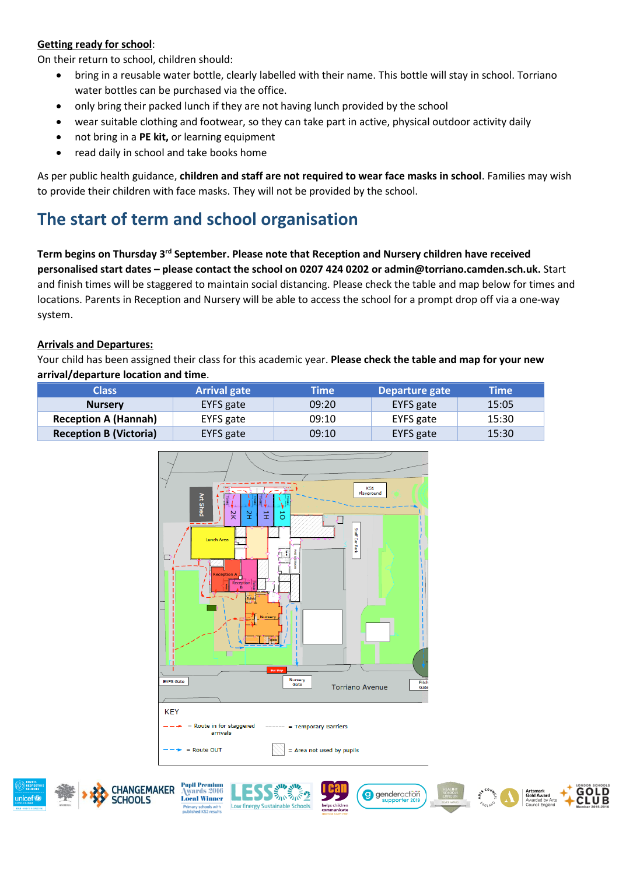### **Getting ready for school**:

On their return to school, children should:

- bring in a reusable water bottle, clearly labelled with their name. This bottle will stay in school. Torriano water bottles can be purchased via the office.
- only bring their packed lunch if they are not having lunch provided by the school
- wear suitable clothing and footwear, so they can take part in active, physical outdoor activity daily
- not bring in a **PE kit,** or learning equipment
- read daily in school and take books home

As per public health guidance, **children and staff are not required to wear face masks in school**. Families may wish to provide their children with face masks. They will not be provided by the school.

# **The start of term and school organisation**

Term begins on Thursday 3<sup>rd</sup> September. Please note that Reception and Nursery children have received **personalised start dates – please contact the school on 0207 424 0202 or admin@torriano.camden.sch.uk.** Start and finish times will be staggered to maintain social distancing. Please check the table and map below for times and locations. Parents in Reception and Nursery will be able to access the school for a prompt drop off via a one-way system.

### **Arrivals and Departures:**

Your child has been assigned their class for this academic year. **Please check the table and map for your new arrival/departure location and time**.

| Class                         | <b>Arrival gate</b> | <b>Time</b> | Departure gate | Time  |
|-------------------------------|---------------------|-------------|----------------|-------|
| <b>Nursery</b>                | EYFS gate           | 09:20       | EYFS gate      | 15:05 |
| <b>Reception A (Hannah)</b>   | EYFS gate           | 09:10       | EYFS gate      | 15:30 |
| <b>Reception B (Victoria)</b> | EYFS gate           | 09:10       | EYFS gate      | 15:30 |













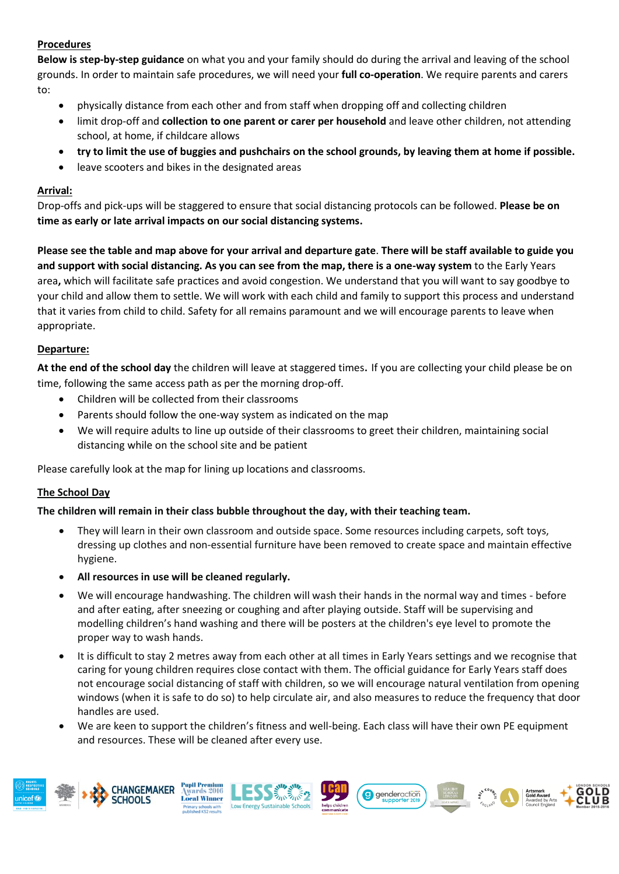### **Procedures**

**Below is step-by-step guidance** on what you and your family should do during the arrival and leaving of the school grounds. In order to maintain safe procedures, we will need your **full co-operation**. We require parents and carers to:

- physically distance from each other and from staff when dropping off and collecting children
- limit drop-off and **collection to one parent or carer per household** and leave other children, not attending school, at home, if childcare allows
- **try to limit the use of buggies and pushchairs on the school grounds, by leaving them at home if possible.**
- leave scooters and bikes in the designated areas

### **Arrival:**

Drop-offs and pick-ups will be staggered to ensure that social distancing protocols can be followed. **Please be on time as early or late arrival impacts on our social distancing systems.** 

**Please see the table and map above for your arrival and departure gate**. **There will be staff available to guide you and support with social distancing. As you can see from the map, there is a one-way system** to the Early Years area**,** which will facilitate safe practices and avoid congestion. We understand that you will want to say goodbye to your child and allow them to settle. We will work with each child and family to support this process and understand that it varies from child to child. Safety for all remains paramount and we will encourage parents to leave when appropriate.

### **Departure:**

**At the end of the school day** the children will leave at staggered times. If you are collecting your child please be on time, following the same access path as per the morning drop-off.

- Children will be collected from their classrooms
- Parents should follow the one-way system as indicated on the map
- We will require adults to line up outside of their classrooms to greet their children, maintaining social distancing while on the school site and be patient

Please carefully look at the map for lining up locations and classrooms.

### **The School Day**

### **The children will remain in their class bubble throughout the day, with their teaching team.**

- They will learn in their own classroom and outside space. Some resources including carpets, soft toys, dressing up clothes and non-essential furniture have been removed to create space and maintain effective hygiene.
- **All resources in use will be cleaned regularly.**
- We will encourage handwashing. The children will wash their hands in the normal way and times before and after eating, after sneezing or coughing and after playing outside. Staff will be supervising and modelling children's hand washing and there will be posters at the children's eye level to promote the proper way to wash hands.
- It is difficult to stay 2 metres away from each other at all times in Early Years settings and we recognise that caring for young children requires close contact with them. The official guidance for Early Years staff does not encourage social distancing of staff with children, so we will encourage natural ventilation from opening windows (when it is safe to do so) to help circulate air, and also measures to reduce the frequency that door handles are used.
- We are keen to support the children's fitness and well-being. Each class will have their own PE equipment and resources. These will be cleaned after every use.

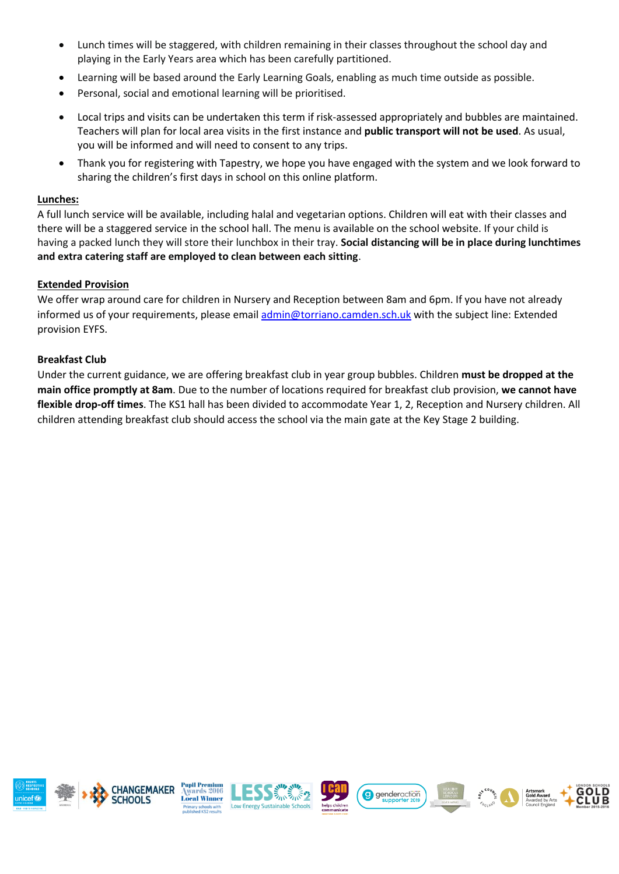- Lunch times will be staggered, with children remaining in their classes throughout the school day and playing in the Early Years area which has been carefully partitioned.
- Learning will be based around the Early Learning Goals, enabling as much time outside as possible.
- Personal, social and emotional learning will be prioritised.
- Local trips and visits can be undertaken this term if risk-assessed appropriately and bubbles are maintained. Teachers will plan for local area visits in the first instance and **public transport will not be used**. As usual, you will be informed and will need to consent to any trips.
- Thank you for registering with Tapestry, we hope you have engaged with the system and we look forward to sharing the children's first days in school on this online platform.

### **Lunches:**

A full lunch service will be available, including halal and vegetarian options. Children will eat with their classes and there will be a staggered service in the school hall. The menu is available on the school website. If your child is having a packed lunch they will store their lunchbox in their tray. **Social distancing will be in place during lunchtimes and extra catering staff are employed to clean between each sitting**.

### **Extended Provision**

We offer wrap around care for children in Nursery and Reception between 8am and 6pm. If you have not already informed us of your requirements, please email [admin@torriano.camden.sch.uk](mailto:admin@torriano.camden.sch.uk) with the subject line: Extended provision EYFS.

### **Breakfast Club**

Under the current guidance, we are offering breakfast club in year group bubbles. Children **must be dropped at the main office promptly at 8am**. Due to the number of locations required for breakfast club provision, **we cannot have flexible drop-off times**. The KS1 hall has been divided to accommodate Year 1, 2, Reception and Nursery children. All children attending breakfast club should access the school via the main gate at the Key Stage 2 building.

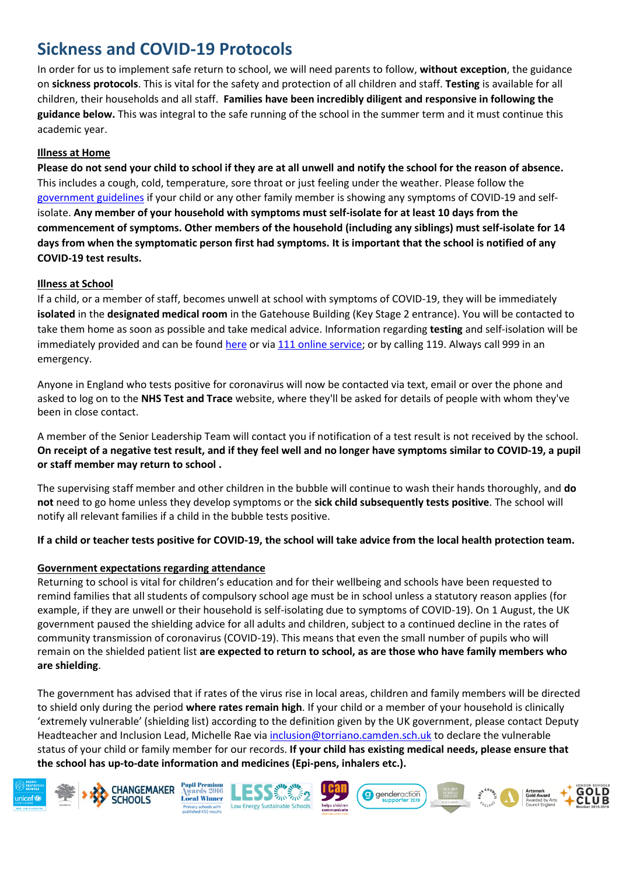## **Sickness and COVID-19 Protocols**

In order for us to implement safe return to school, we will need parents to follow, **without exception**, the guidance on **sickness protocols**. This is vital for the safety and protection of all children and staff. **Testing** is available for all children, their households and all staff. **Families have been incredibly diligent and responsive in following the guidance below.** This was integral to the safe running of the school in the summer term and it must continue this academic year.

### **Illness at Home**

**Please do not send your child to school if they are at all unwell and notify the school for the reason of absence.** This includes a cough, cold, temperature, sore throat or just feeling under the weather. Please follow the [government guidelines](https://www.gov.uk/government/publications/covid-19-stay-at-home-guidance) if your child or any other family member is showing any symptoms of COVID-19 and selfisolate. **Any member of your household with symptoms must self-isolate for at least 10 days from the commencement of symptoms. Other members of the household (including any siblings) must self-isolate for 14 days from when the symptomatic person first had symptoms. It is important that the school is notified of any COVID-19 test results.** 

### **Illness at School**

If a child, or a member of staff, becomes unwell at school with symptoms of COVID-19, they will be immediately **isolated** in the **designated medical room** in the Gatehouse Building (Key Stage 2 entrance). You will be contacted to take them home as soon as possible and take medical advice. Information regarding **testing** and self-isolation will be immediately provided and can be found [here](https://www.gov.uk/guidance/coronavirus-covid-19-getting-tested) or vi[a 111 online service;](https://111.nhs.uk/covid-19) or by calling 119. Always call 999 in an emergency.

Anyone in England who tests positive for coronavirus will now be contacted via text, email or over the phone and asked to log on to the **NHS Test and Trace** website, where they'll be asked for details of people with whom they've been in close contact.

A member of the Senior Leadership Team will contact you if notification of a test result is not received by the school. **On receipt of a negative test result, and if they feel well and no longer have symptoms similar to COVID-19, a pupil or staff member may return to school .**

The supervising staff member and other children in the bubble will continue to wash their hands thoroughly, and **do not** need to go home unless they develop symptoms or the **sick child subsequently tests positive**. The school will notify all relevant families if a child in the bubble tests positive.

**If a child or teacher tests positive for COVID-19, the school will take advice from the local health protection team.** 

### **Government expectations regarding attendance**

Returning to school is vital for children's education and for their wellbeing and schools have been requested to remind families that all students of compulsory school age must be in school unless a statutory reason applies (for example, if they are unwell or their household is self-isolating due to symptoms of COVID-19). On 1 August, the UK government paused the shielding advice for all adults and children, subject to a continued decline in the rates of community transmission of coronavirus (COVID-19). This means that even the small number of pupils who will remain on the shielded patient list **are expected to return to school, as are those who have family members who are shielding**.

The government has advised that if rates of the virus rise in local areas, children and family members will be directed to shield only during the period **where rates remain high**. If your child or a member of your household is clinically 'extremely vulnerable' (shielding list) according to the definition given by the UK government, please contact Deputy Headteacher and Inclusion Lead, Michelle Rae via [inclusion@torriano.camden.sch.uk](mailto:inclusion@torriano.camden.sch.uk) to declare the vulnerable status of your child or family member for our records. **If your child has existing medical needs, please ensure that the school has up-to-date information and medicines (Epi-pens, inhalers etc.).**

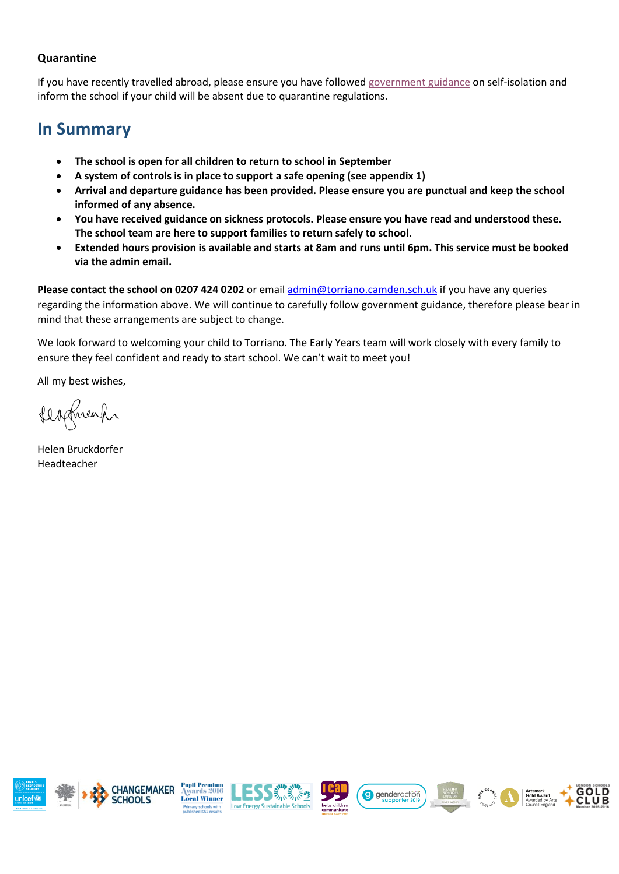### **Quarantine**

If you have recently travelled abroad, please ensure you have followe[d government guidance](https://www.gov.uk/government/publications/coronavirus-covid-19-how-to-self-isolate-when-you-travel-to-the-uk/coronavirus-covid-19-how-to-self-isolate-when-you-travel-to-the-uk) on self-isolation and inform the school if your child will be absent due to quarantine regulations.

### **In Summary**

- **The school is open for all children to return to school in September**
- **A system of controls is in place to support a safe opening (see appendix 1)**
- **Arrival and departure guidance has been provided. Please ensure you are punctual and keep the school informed of any absence.**
- **You have received guidance on sickness protocols. Please ensure you have read and understood these. The school team are here to support families to return safely to school.**
- **Extended hours provision is available and starts at 8am and runs until 6pm. This service must be booked via the admin email.**

**Please contact the school on 0207 424 0202** or emai[l admin@torriano.camden.sch.uk](mailto:admin@torriano.camden.sch.uk) if you have any queries regarding the information above. We will continue to carefully follow government guidance, therefore please bear in mind that these arrangements are subject to change.

We look forward to welcoming your child to Torriano. The Early Years team will work closely with every family to ensure they feel confident and ready to start school. We can't wait to meet you!

All my best wishes,

fladmeach

Helen Bruckdorfer Headteacher